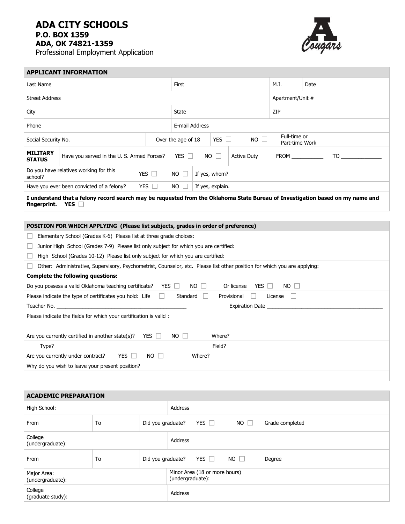## **ADA CITY SCHOOLS P.O. BOX 1359 ADA, OK 74821-1359**

Professional Employment Application



| <b>APPLICANT INFORMATION</b>                                                               |                                           |  |                                                 |                                     |             |                    |                                |                  |      |
|--------------------------------------------------------------------------------------------|-------------------------------------------|--|-------------------------------------------------|-------------------------------------|-------------|--------------------|--------------------------------|------------------|------|
| Last Name                                                                                  |                                           |  |                                                 | First                               |             |                    |                                | M.I.             | Date |
| <b>Street Address</b>                                                                      |                                           |  |                                                 |                                     |             |                    |                                | Apartment/Unit # |      |
| City                                                                                       |                                           |  |                                                 | State                               |             |                    |                                | ZIP              |      |
| Phone                                                                                      |                                           |  | E-mail Address                                  |                                     |             |                    |                                |                  |      |
| Social Security No.                                                                        |                                           |  | $NO$ $\Box$<br>YES $\Box$<br>Over the age of 18 |                                     |             |                    | Full-time or<br>Part-time Work |                  |      |
| <b>MILITARY</b><br><b>STATUS</b>                                                           | Have you served in the U.S. Armed Forces? |  |                                                 |                                     | $NO$ $\Box$ | <b>Active Duty</b> |                                | <b>FROM</b>      | TO   |
| Do you have relatives working for this<br>YES $\Box$<br>school?                            |                                           |  |                                                 | If yes, whom?<br>NO<br>$\mathbf{1}$ |             |                    |                                |                  |      |
| YES $\Box$<br>$NO$ $\Box$<br>Have you ever been convicted of a felony?<br>If yes, explain. |                                           |  |                                                 |                                     |             |                    |                                |                  |      |
|                                                                                            | $\sim$ $\sim$<br>.                        |  |                                                 |                                     |             |                    |                                |                  |      |

**I understand that a felony record search may be requested from the Oklahoma State Bureau of Investigation based on my name and fingerprint. YES** 

| POSITION FOR WHICH APPLYING (Please list subjects, grades in order of preference)                                          |  |  |  |  |  |  |
|----------------------------------------------------------------------------------------------------------------------------|--|--|--|--|--|--|
| Elementary School (Grades K-6) Please list at three grade choices:                                                         |  |  |  |  |  |  |
| Junior High School (Grades 7-9) Please list only subject for which you are certified:                                      |  |  |  |  |  |  |
| High School (Grades 10-12) Please list only subject for which you are certified:                                           |  |  |  |  |  |  |
| Other: Administrative, Supervisory, Psychometrist, Counselor, etc. Please list other position for which you are applying:  |  |  |  |  |  |  |
| <b>Complete the following questions:</b>                                                                                   |  |  |  |  |  |  |
| YES $\Box$<br>Do you possess a valid Oklahoma teaching certificate? $YES \Box$<br>$NO$ $\Box$<br>$NO$ $\Box$<br>Or license |  |  |  |  |  |  |
| Please indicate the type of certificates you hold: Life $\Box$<br>Standard<br>Provisional<br>License<br>$\mathbf{1}$       |  |  |  |  |  |  |
| Teacher No.<br>Expiration Date                                                                                             |  |  |  |  |  |  |
| Please indicate the fields for which your certification is valid:                                                          |  |  |  |  |  |  |
|                                                                                                                            |  |  |  |  |  |  |
| YES $\Box$<br>Where?<br>Are you currently certified in another state(s)?<br>$NO$ $\Box$                                    |  |  |  |  |  |  |
| Field?<br>Type?                                                                                                            |  |  |  |  |  |  |
| Are you currently under contract? $YES \Box$<br>$NO$ $\Box$<br>Where?                                                      |  |  |  |  |  |  |
| Why do you wish to leave your present position?                                                                            |  |  |  |  |  |  |
|                                                                                                                            |  |  |  |  |  |  |

| <b>ACADEMIC PREPARATION</b>     |    |                   |                  |                               |             |                 |  |  |
|---------------------------------|----|-------------------|------------------|-------------------------------|-------------|-----------------|--|--|
| High School:                    |    |                   |                  | Address                       |             |                 |  |  |
| From                            | To | Did you graduate? |                  | YES $\Box$                    | $NO$ $\Box$ | Grade completed |  |  |
| College<br>(undergraduate):     |    |                   | Address          |                               |             |                 |  |  |
| From                            | To | Did you graduate? |                  | YES $\Box$                    | $NO$ $\Box$ | Degree          |  |  |
| Major Area:<br>(undergraduate): |    |                   | (undergraduate): | Minor Area (18 or more hours) |             |                 |  |  |
| College<br>(graduate study):    |    |                   | Address          |                               |             |                 |  |  |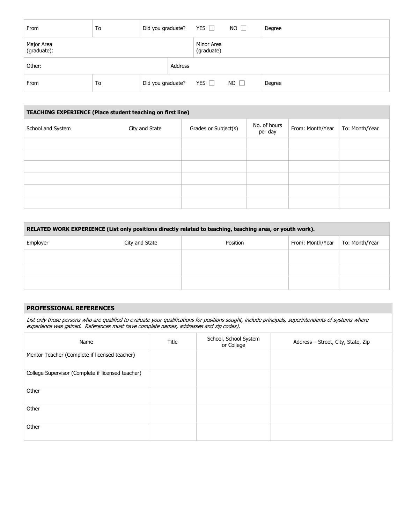| From                      | To | Did you graduate? |         | YES $\Box$               | $NO$ $\Box$ | Degree |
|---------------------------|----|-------------------|---------|--------------------------|-------------|--------|
| Major Area<br>(graduate): |    |                   |         | Minor Area<br>(graduate) |             |        |
| Other:                    |    |                   | Address |                          |             |        |
| From                      | To | Did you graduate? |         | YES $\Box$               | $NO$ $\Box$ | Degree |

| TEACHING EXPERIENCE (Place student teaching on first line) |                |                      |                         |                  |                |  |  |  |
|------------------------------------------------------------|----------------|----------------------|-------------------------|------------------|----------------|--|--|--|
| School and System                                          | City and State | Grades or Subject(s) | No. of hours<br>per day | From: Month/Year | To: Month/Year |  |  |  |
|                                                            |                |                      |                         |                  |                |  |  |  |
|                                                            |                |                      |                         |                  |                |  |  |  |
|                                                            |                |                      |                         |                  |                |  |  |  |
|                                                            |                |                      |                         |                  |                |  |  |  |
|                                                            |                |                      |                         |                  |                |  |  |  |
|                                                            |                |                      |                         |                  |                |  |  |  |

| RELATED WORK EXPERIENCE (List only positions directly related to teaching, teaching area, or youth work). |                |          |                  |                |  |  |
|-----------------------------------------------------------------------------------------------------------|----------------|----------|------------------|----------------|--|--|
| Employer                                                                                                  | City and State | Position | From: Month/Year | To: Month/Year |  |  |
|                                                                                                           |                |          |                  |                |  |  |
|                                                                                                           |                |          |                  |                |  |  |
|                                                                                                           |                |          |                  |                |  |  |

## **PROFESSIONAL REFERENCES**

List only those persons who are qualified to evaluate your qualifications for positions sought, include principals, superintendents of systems where experience was gained. References must have complete names, addresses and zip codes).

| Name                                              | Title | School, School System<br>or College | Address - Street, City, State, Zip |
|---------------------------------------------------|-------|-------------------------------------|------------------------------------|
| Mentor Teacher (Complete if licensed teacher)     |       |                                     |                                    |
| College Supervisor (Complete if licensed teacher) |       |                                     |                                    |
| Other                                             |       |                                     |                                    |
| Other                                             |       |                                     |                                    |
| Other                                             |       |                                     |                                    |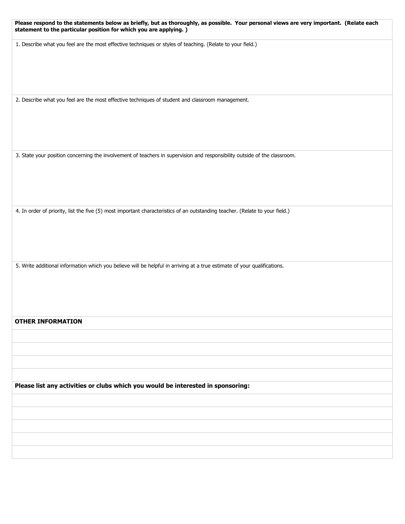|                          | Please respond to the statements below as briefly, but as thoroughly, as possible. Your personal views are very important. (Relate each<br>statement to the particular position for which you are applying.) |
|--------------------------|--------------------------------------------------------------------------------------------------------------------------------------------------------------------------------------------------------------|
|                          | 1. Describe what you feel are the most effective techniques or styles of teaching. (Relate to your field.)                                                                                                   |
|                          | 2. Describe what you feel are the most effective techniques of student and classroom management.                                                                                                             |
|                          |                                                                                                                                                                                                              |
|                          | 3. State your position concerning the involvement of teachers in supervision and responsibility outside of the classroom.                                                                                    |
|                          |                                                                                                                                                                                                              |
|                          | 4. In order of priority, list the five (5) most important characteristics of an outstanding teacher. (Relate to your field.)                                                                                 |
|                          |                                                                                                                                                                                                              |
|                          | 5. Write additional information which you believe will be helpful in arriving at a true estimate of your qualifications.                                                                                     |
|                          |                                                                                                                                                                                                              |
| <b>OTHER INFORMATION</b> |                                                                                                                                                                                                              |
|                          |                                                                                                                                                                                                              |
|                          |                                                                                                                                                                                                              |
|                          |                                                                                                                                                                                                              |

**Please list any activities or clubs which you would be interested in sponsoring:**